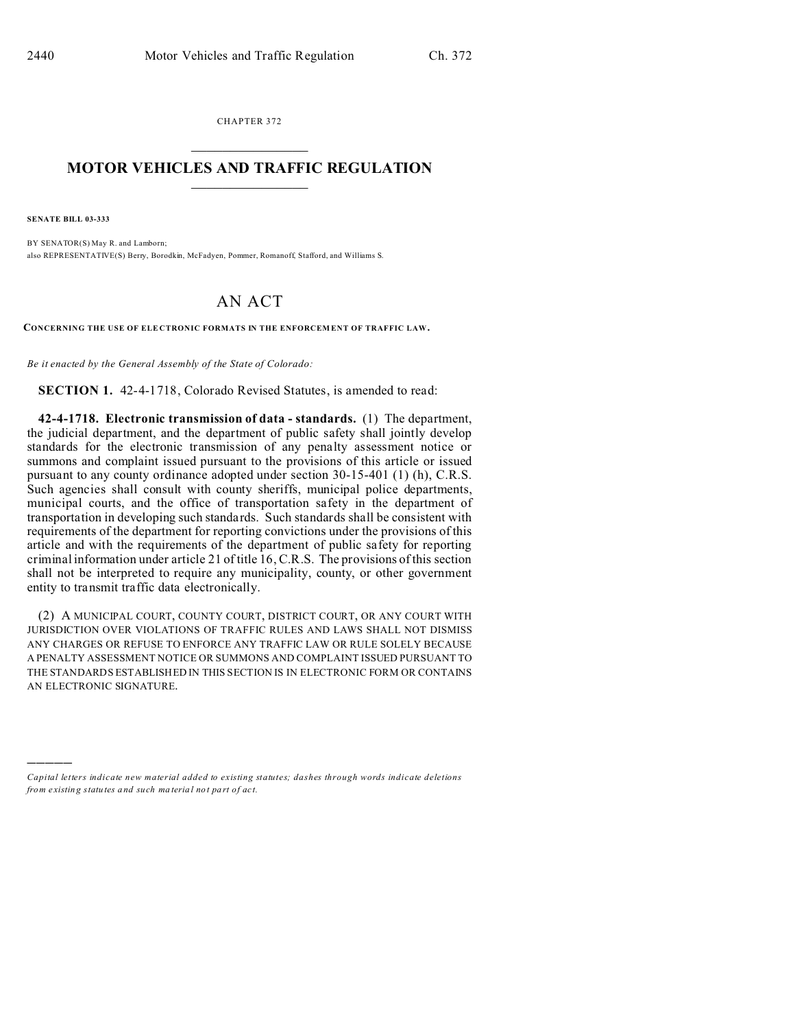CHAPTER 372  $\overline{\phantom{a}}$  , where  $\overline{\phantom{a}}$ 

## **MOTOR VEHICLES AND TRAFFIC REGULATION**  $\frac{1}{2}$  ,  $\frac{1}{2}$  ,  $\frac{1}{2}$  ,  $\frac{1}{2}$  ,  $\frac{1}{2}$  ,  $\frac{1}{2}$  ,  $\frac{1}{2}$

**SENATE BILL 03-333**

)))))

BY SENATOR(S) May R. and Lamborn; also REPRESENTATIVE(S) Berry, Borodkin, McFadyen, Pommer, Romanoff, Stafford, and Williams S.

## AN ACT

**CONCERNING THE USE OF ELE CTRONIC FORMATS IN THE ENFORCEM ENT OF TRAFFIC LAW.**

*Be it enacted by the General Assembly of the State of Colorado:*

**SECTION 1.** 42-4-1718, Colorado Revised Statutes, is amended to read:

**42-4-1718. Electronic transmission of data - standards.** (1) The department, the judicial department, and the department of public safety shall jointly develop standards for the electronic transmission of any penalty assessment notice or summons and complaint issued pursuant to the provisions of this article or issued pursuant to any county ordinance adopted under section 30-15-401 (1) (h), C.R.S. Such agencies shall consult with county sheriffs, municipal police departments, municipal courts, and the office of transportation safety in the department of transportation in developing such standards. Such standards shall be consistent with requirements of the department for reporting convictions under the provisions of this article and with the requirements of the department of public safety for reporting criminal information under article 21 of title 16, C.R.S. The provisions of this section shall not be interpreted to require any municipality, county, or other government entity to transmit traffic data electronically.

(2) A MUNICIPAL COURT, COUNTY COURT, DISTRICT COURT, OR ANY COURT WITH JURISDICTION OVER VIOLATIONS OF TRAFFIC RULES AND LAWS SHALL NOT DISMISS ANY CHARGES OR REFUSE TO ENFORCE ANY TRAFFIC LAW OR RULE SOLELY BECAUSE A PENALTY ASSESSMENT NOTICE OR SUMMONS AND COMPLAINT ISSUED PURSUANT TO THE STANDARDS ESTABLISHED IN THIS SECTION IS IN ELECTRONIC FORM OR CONTAINS AN ELECTRONIC SIGNATURE.

*Capital letters indicate new material added to existing statutes; dashes through words indicate deletions from e xistin g statu tes a nd such ma teria l no t pa rt of ac t.*